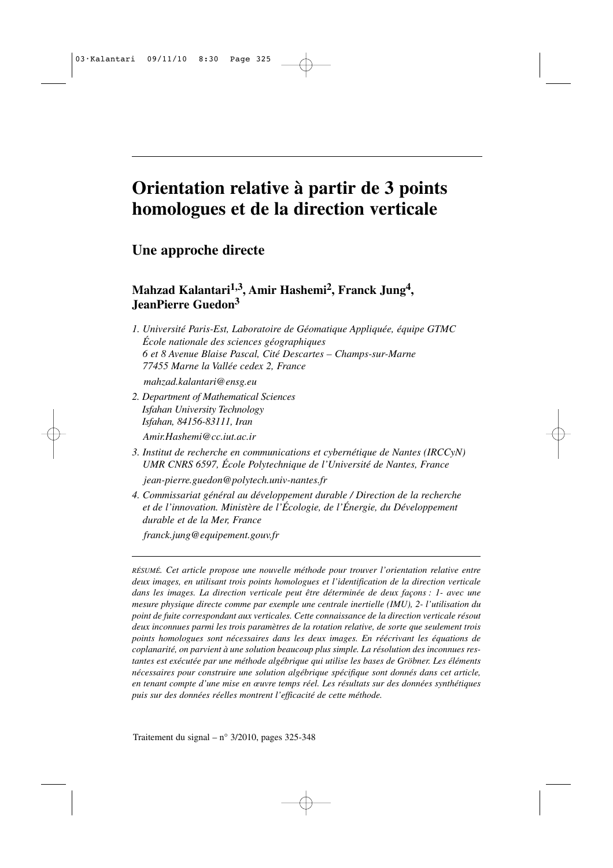# **Orientation relative à partir de 3 points homologues et de la direction verticale**

**Une approche directe**

**Mahzad Kalantari1,3 , Amir Hashemi<sup>2</sup> , Franck Jung<sup>4</sup> , JeanPierre Guedon<sup>3</sup>**

*1. Université Paris-Est, Laboratoire de Géomatique Appliquée, équipe GTMC École nationale des sciences géographiques 6 et 8 Avenue Blaise Pascal, Cité Descartes – Champs-sur-Marne 77455 Marne la Vallée cedex 2, France*

*mahzad.kalantari@ensg.eu*

*2. Department of Mathematical Sciences Isfahan University Technology Isfahan, 84156-83111, Iran*

*Amir.Hashemi@cc.iut.ac.ir*

*3. Institut de recherche en communications et cybernétique de Nantes (IRCCyN) UMR CNRS 6597, École Polytechnique de l'Université de Nantes, France*

*jean-pierre.guedon@polytech.univ-nantes.fr*

*4. Commissariat général au développement durable / Direction de la recherche et de l'innovation. Ministère de l'Écologie, de l'Énergie, du Développement durable et de la Mer, France*

*franck.jung@equipement.gouv.fr*

*RÉSUMÉ. Cet article propose une nouvelle méthode pour trouver l'orientation relative entre deux images, en utilisant trois points homologues et l'identification de la direction verticale dans les images. La direction verticale peut être déterminée de deux façons : 1- avec une mesure physique directe comme par exemple une centrale inertielle (IMU), 2- l'utilisation du point de fuite correspondant aux verticales. Cette connaissance de la direction verticale résout deux inconnues parmi les trois paramètres de la rotation relative, de sorte que seulement trois points homologues sont nécessaires dans les deux images. En réécrivant les équations de coplanarité, on parvient à une solution beaucoup plus simple. La résolution des inconnues restantes est exécutée par une méthode algébrique qui utilise les bases de Gröbner. Les éléments nécessaires pour construire une solution algébrique spécifique sont donnés dans cet article, en tenant compte d'une mise en œuvre temps réel. Les résultats sur des données synthétiques puis sur des données réelles montrent l'efficacité de cette méthode.*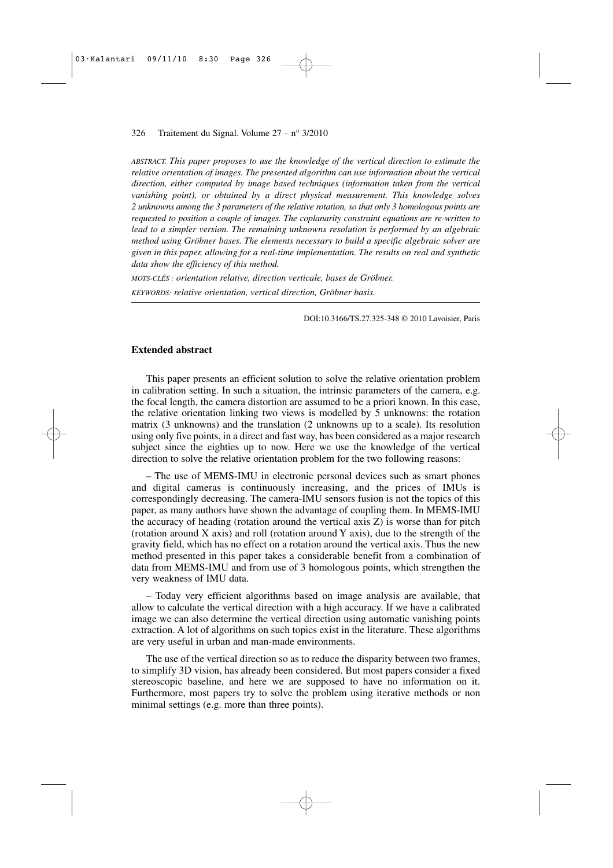*ABSTRACT. This paper proposes to use the knowledge of the vertical direction to estimate the relative orientation of images. The presented algorithm can use information about the vertical direction, either computed by image based techniques (information taken from the vertical vanishing point), or obtained by a direct physical measurement. This knowledge solves 2 unknowns among the 3 parameters of the relative rotation, so that only 3 homologous points are requested to position a couple of images. The coplanarity constraint equations are re-written to lead to a simpler version. The remaining unknowns resolution is performed by an algebraic method using Gröbner bases. The elements necessary to build a specific algebraic solver are given in this paper, allowing for a real-time implementation. The results on real and synthetic data show the efficiency of this method.*

*MOTS-CLÉS : orientation relative, direction verticale, bases de Gröbner. KEYWORDS: relative orientation, vertical direction, Gröbner basis.*

DOI:10.3166/TS.27.325-348 © 2010 Lavoisier, Paris

#### **Extended abstract**

This paper presents an efficient solution to solve the relative orientation problem in calibration setting. In such a situation, the intrinsic parameters of the camera, e.g. the focal length, the camera distortion are assumed to be a priori known. In this case, the relative orientation linking two views is modelled by 5 unknowns: the rotation matrix (3 unknowns) and the translation (2 unknowns up to a scale). Its resolution using only five points, in a direct and fast way, has been considered as a major research subject since the eighties up to now. Here we use the knowledge of the vertical direction to solve the relative orientation problem for the two following reasons:

– The use of MEMS-IMU in electronic personal devices such as smart phones and digital cameras is continuously increasing, and the prices of IMUs is correspondingly decreasing. The camera-IMU sensors fusion is not the topics of this paper, as many authors have shown the advantage of coupling them. In MEMS-IMU the accuracy of heading (rotation around the vertical axis Z) is worse than for pitch (rotation around X axis) and roll (rotation around Y axis), due to the strength of the gravity field, which has no effect on a rotation around the vertical axis. Thus the new method presented in this paper takes a considerable benefit from a combination of data from MEMS-IMU and from use of 3 homologous points, which strengthen the very weakness of IMU data.

– Today very efficient algorithms based on image analysis are available, that allow to calculate the vertical direction with a high accuracy. If we have a calibrated image we can also determine the vertical direction using automatic vanishing points extraction. A lot of algorithms on such topics exist in the literature. These algorithms are very useful in urban and man-made environments.

The use of the vertical direction so as to reduce the disparity between two frames, to simplify 3D vision, has already been considered. But most papers consider a fixed stereoscopic baseline, and here we are supposed to have no information on it. Furthermore, most papers try to solve the problem using iterative methods or non minimal settings (e.g. more than three points).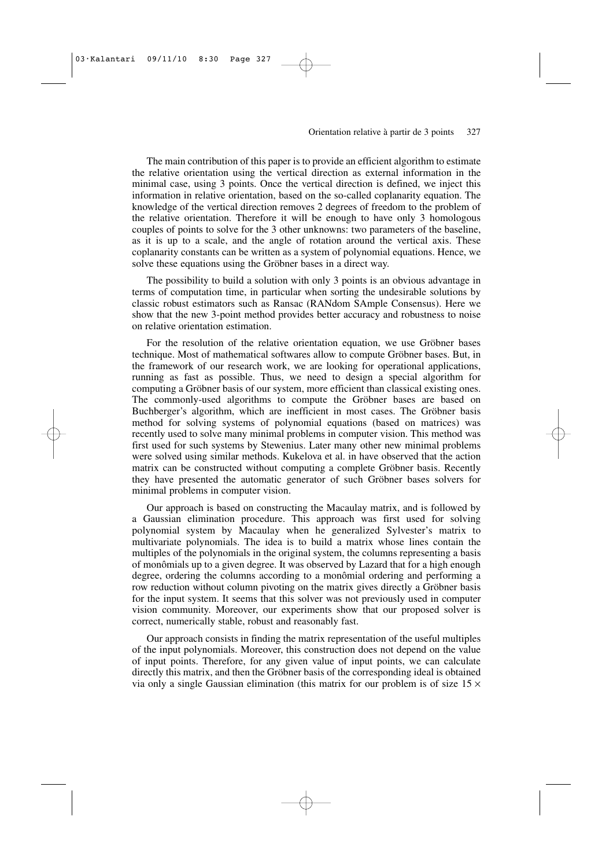The main contribution of this paper is to provide an efficient algorithm to estimate the relative orientation using the vertical direction as external information in the minimal case, using 3 points. Once the vertical direction is defined, we inject this information in relative orientation, based on the so-called coplanarity equation. The knowledge of the vertical direction removes 2 degrees of freedom to the problem of the relative orientation. Therefore it will be enough to have only 3 homologous couples of points to solve for the 3 other unknowns: two parameters of the baseline, as it is up to a scale, and the angle of rotation around the vertical axis. These coplanarity constants can be written as a system of polynomial equations. Hence, we solve these equations using the Gröbner bases in a direct way.

The possibility to build a solution with only 3 points is an obvious advantage in terms of computation time, in particular when sorting the undesirable solutions by classic robust estimators such as Ransac (RANdom SAmple Consensus). Here we show that the new 3-point method provides better accuracy and robustness to noise on relative orientation estimation.

For the resolution of the relative orientation equation, we use Gröbner bases technique. Most of mathematical softwares allow to compute Gröbner bases. But, in the framework of our research work, we are looking for operational applications, running as fast as possible. Thus, we need to design a special algorithm for computing a Gröbner basis of our system, more efficient than classical existing ones. The commonly-used algorithms to compute the Gröbner bases are based on Buchberger's algorithm, which are inefficient in most cases. The Gröbner basis method for solving systems of polynomial equations (based on matrices) was recently used to solve many minimal problems in computer vision. This method was first used for such systems by Stewenius. Later many other new minimal problems were solved using similar methods. Kukelova et al. in have observed that the action matrix can be constructed without computing a complete Gröbner basis. Recently they have presented the automatic generator of such Gröbner bases solvers for minimal problems in computer vision.

Our approach is based on constructing the Macaulay matrix, and is followed by a Gaussian elimination procedure. This approach was first used for solving polynomial system by Macaulay when he generalized Sylvester's matrix to multivariate polynomials. The idea is to build a matrix whose lines contain the multiples of the polynomials in the original system, the columns representing a basis of monômials up to a given degree. It was observed by Lazard that for a high enough degree, ordering the columns according to a monômial ordering and performing a row reduction without column pivoting on the matrix gives directly a Gröbner basis for the input system. It seems that this solver was not previously used in computer vision community. Moreover, our experiments show that our proposed solver is correct, numerically stable, robust and reasonably fast.

Our approach consists in finding the matrix representation of the useful multiples of the input polynomials. Moreover, this construction does not depend on the value of input points. Therefore, for any given value of input points, we can calculate directly this matrix, and then the Gröbner basis of the corresponding ideal is obtained via only a single Gaussian elimination (this matrix for our problem is of size  $15 \times$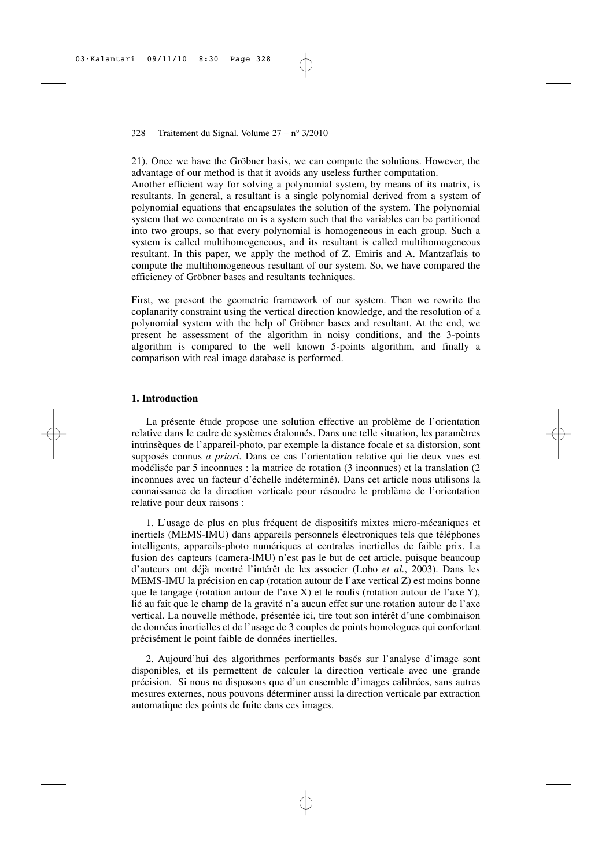21). Once we have the Gröbner basis, we can compute the solutions. However, the advantage of our method is that it avoids any useless further computation.

Another efficient way for solving a polynomial system, by means of its matrix, is resultants. In general, a resultant is a single polynomial derived from a system of polynomial equations that encapsulates the solution of the system. The polynomial system that we concentrate on is a system such that the variables can be partitioned into two groups, so that every polynomial is homogeneous in each group. Such a system is called multihomogeneous, and its resultant is called multihomogeneous resultant. In this paper, we apply the method of Z. Emiris and A. Mantzaflais to compute the multihomogeneous resultant of our system. So, we have compared the efficiency of Gröbner bases and resultants techniques.

First, we present the geometric framework of our system. Then we rewrite the coplanarity constraint using the vertical direction knowledge, and the resolution of a polynomial system with the help of Gröbner bases and resultant. At the end, we present he assessment of the algorithm in noisy conditions, and the 3-points algorithm is compared to the well known 5-points algorithm, and finally a comparison with real image database is performed.

## **1. Introduction**

La présente étude propose une solution effective au problème de l'orientation relative dans le cadre de systèmes étalonnés. Dans une telle situation, les paramètres intrinsèques de l'appareil-photo, par exemple la distance focale et sa distorsion, sont supposés connus *a priori*. Dans ce cas l'orientation relative qui lie deux vues est modélisée par 5 inconnues : la matrice de rotation (3 inconnues) et la translation (2 inconnues avec un facteur d'échelle indéterminé). Dans cet article nous utilisons la connaissance de la direction verticale pour résoudre le problème de l'orientation relative pour deux raisons :

1. L'usage de plus en plus fréquent de dispositifs mixtes micro-mécaniques et inertiels (MEMS-IMU) dans appareils personnels électroniques tels que téléphones intelligents, appareils-photo numériques et centrales inertielles de faible prix. La fusion des capteurs (camera-IMU) n'est pas le but de cet article, puisque beaucoup d'auteurs ont déjà montré l'intérêt de les associer (Lobo *et al.*, 2003). Dans les MEMS-IMU la précision en cap (rotation autour de l'axe vertical Z) est moins bonne que le tangage (rotation autour de l'axe X) et le roulis (rotation autour de l'axe Y), lié au fait que le champ de la gravité n'a aucun effet sur une rotation autour de l'axe vertical. La nouvelle méthode, présentée ici, tire tout son intérêt d'une combinaison de données inertielles et de l'usage de 3 couples de points homologues qui confortent précisément le point faible de données inertielles.

2. Aujourd'hui des algorithmes performants basés sur l'analyse d'image sont disponibles, et ils permettent de calculer la direction verticale avec une grande précision. Si nous ne disposons que d'un ensemble d'images calibrées, sans autres mesures externes, nous pouvons déterminer aussi la direction verticale par extraction automatique des points de fuite dans ces images.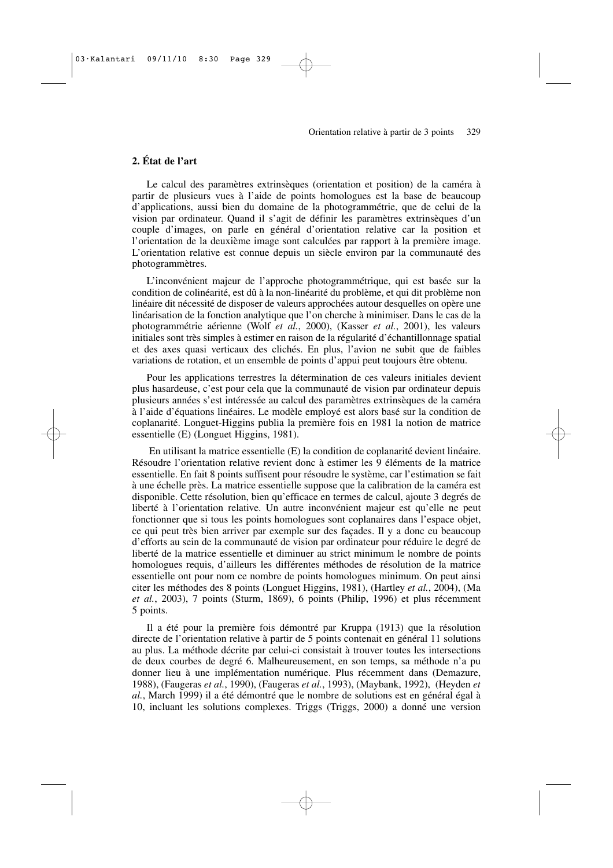# **2. État de l'art**

Le calcul des paramètres extrinsèques (orientation et position) de la caméra à partir de plusieurs vues à l'aide de points homologues est la base de beaucoup d'applications, aussi bien du domaine de la photogrammétrie, que de celui de la vision par ordinateur. Quand il s'agit de définir les paramètres extrinsèques d'un couple d'images, on parle en général d'orientation relative car la position et l'orientation de la deuxième image sont calculées par rapport à la première image. L'orientation relative est connue depuis un siècle environ par la communauté des photogrammètres.

L'inconvénient majeur de l'approche photogrammétrique, qui est basée sur la condition de colinéarité, est dû à la non-linéarité du problème, et qui dit problème non linéaire dit nécessité de disposer de valeurs approchées autour desquelles on opère une linéarisation de la fonction analytique que l'on cherche à minimiser. Dans le cas de la photogrammétrie aérienne (Wolf *et al.*, 2000), (Kasser *et al.*, 2001), les valeurs initiales sont très simples à estimer en raison de la régularité d'échantillonnage spatial et des axes quasi verticaux des clichés. En plus, l'avion ne subit que de faibles variations de rotation, et un ensemble de points d'appui peut toujours être obtenu.

Pour les applications terrestres la détermination de ces valeurs initiales devient plus hasardeuse, c'est pour cela que la communauté de vision par ordinateur depuis plusieurs années s'est intéressée au calcul des paramètres extrinsèques de la caméra à l'aide d'équations linéaires. Le modèle employé est alors basé sur la condition de coplanarité. Longuet-Higgins publia la première fois en 1981 la notion de matrice essentielle (E) (Longuet Higgins, 1981).

En utilisant la matrice essentielle (E) la condition de coplanarité devient linéaire. Résoudre l'orientation relative revient donc à estimer les 9 éléments de la matrice essentielle. En fait 8 points suffisent pour résoudre le système, car l'estimation se fait à une échelle près. La matrice essentielle suppose que la calibration de la caméra est disponible. Cette résolution, bien qu'efficace en termes de calcul, ajoute 3 degrés de liberté à l'orientation relative. Un autre inconvénient majeur est qu'elle ne peut fonctionner que si tous les points homologues sont coplanaires dans l'espace objet, ce qui peut très bien arriver par exemple sur des façades. Il y a donc eu beaucoup d'efforts au sein de la communauté de vision par ordinateur pour réduire le degré de liberté de la matrice essentielle et diminuer au strict minimum le nombre de points homologues requis, d'ailleurs les différentes méthodes de résolution de la matrice essentielle ont pour nom ce nombre de points homologues minimum. On peut ainsi citer les méthodes des 8 points (Longuet Higgins, 1981), (Hartley *et al.*, 2004), (Ma *et al.*, 2003), 7 points (Sturm, 1869), 6 points (Philip, 1996) et plus récemment 5 points.

Il a été pour la première fois démontré par Kruppa (1913) que la résolution directe de l'orientation relative à partir de 5 points contenait en général 11 solutions au plus. La méthode décrite par celui-ci consistait à trouver toutes les intersections de deux courbes de degré 6. Malheureusement, en son temps, sa méthode n'a pu donner lieu à une implémentation numérique. Plus récemment dans (Demazure, 1988), (Faugeras *et al.*, 1990), (Faugeras *et al.*, 1993), (Maybank, 1992), (Heyden *et al.*, March 1999) il a été démontré que le nombre de solutions est en général égal à 10, incluant les solutions complexes. Triggs (Triggs, 2000) a donné une version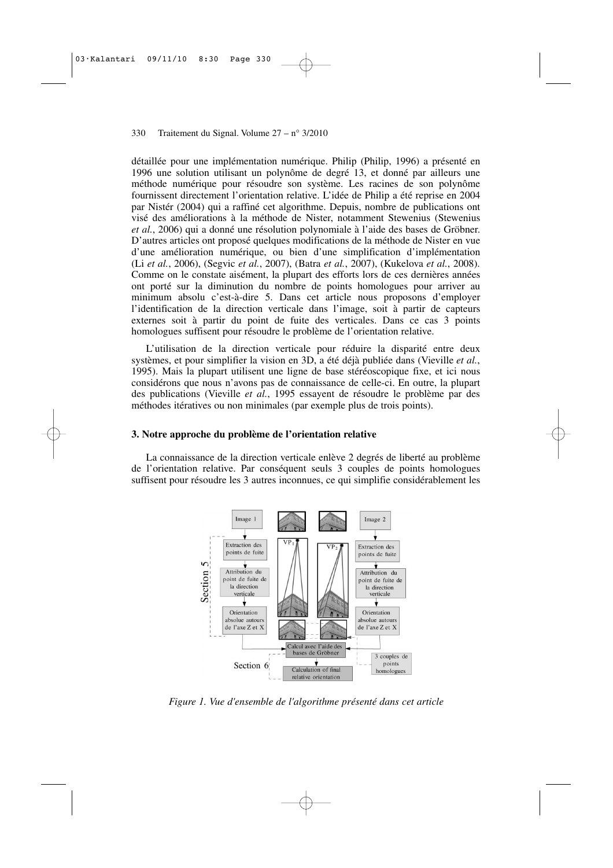détaillée pour une implémentation numérique. Philip (Philip, 1996) a présenté en 1996 une solution utilisant un polynôme de degré 13, et donné par ailleurs une méthode numérique pour résoudre son système. Les racines de son polynôme fournissent directement l'orientation relative. L'idée de Philip a été reprise en 2004 par Nistér (2004) qui a raffiné cet algorithme. Depuis, nombre de publications ont visé des améliorations à la méthode de Nister, notamment Stewenius (Stewenius *et al.*, 2006) qui a donné une résolution polynomiale à l'aide des bases de Gröbner. D'autres articles ont proposé quelques modifications de la méthode de Nister en vue d'une amélioration numérique, ou bien d'une simplification d'implémentation (Li *et al.*, 2006), (Segvic *et al.*, 2007), (Batra *et al.*, 2007), (Kukelova *et al.*, 2008). Comme on le constate aisément, la plupart des efforts lors de ces dernières années ont porté sur la diminution du nombre de points homologues pour arriver au minimum absolu c'est-à-dire 5. Dans cet article nous proposons d'employer l'identification de la direction verticale dans l'image, soit à partir de capteurs externes soit à partir du point de fuite des verticales. Dans ce cas 3 points homologues suffisent pour résoudre le problème de l'orientation relative.

L'utilisation de la direction verticale pour réduire la disparité entre deux systèmes, et pour simplifier la vision en 3D, a été déjà publiée dans (Vieville *et al.*, 1995). Mais la plupart utilisent une ligne de base stéréoscopique fixe, et ici nous considérons que nous n'avons pas de connaissance de celle-ci. En outre, la plupart des publications (Vieville *et al.*, 1995 essayent de résoudre le problème par des méthodes itératives ou non minimales (par exemple plus de trois points).

## **3. Notre approche du problème de l'orientation relative**

La connaissance de la direction verticale enlève 2 degrés de liberté au problème de l'orientation relative. Par conséquent seuls 3 couples de points homologues suffisent pour résoudre les 3 autres inconnues, ce qui simplifie considérablement les



*Figure 1. Vue d'ensemble de l'algorithme présenté dans cet article*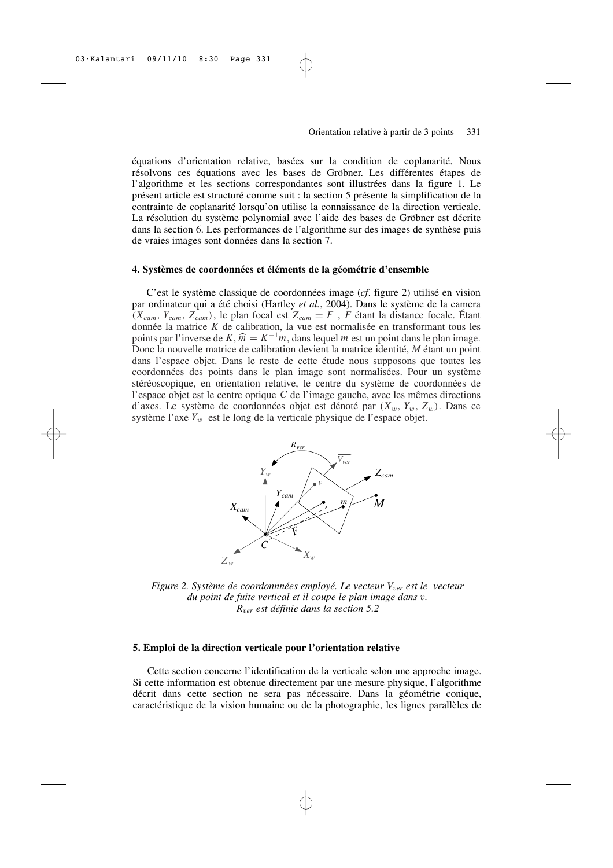équations d'orientation relative, basées sur la condition de coplanarité. Nous résolvons ces équations avec les bases de Gröbner. Les différentes étapes de l'algorithme et les sections correspondantes sont illustrées dans la figure 1. Le présent article est structuré comme suit : la section 5 présente la simplification de la contrainte de coplanarité lorsqu'on utilise la connaissance de la direction verticale. La résolution du système polynomial avec l'aide des bases de Gröbner est décrite dans la section 6. Les performances de l'algorithme sur des images de synthèse puis de vraies images sont données dans la section 7.

#### **4. Systèmes de coordonnées et éléments de la géométrie d'ensemble**

C'est le système classique de coordonnées image (*cf*. figure 2) utilisé en vision par ordinateur qui a été choisi (Hartley *et al.*, 2004). Dans le système de la camera  $(X_{cam}, Y_{cam}, Z_{cam})$ , le plan focal est  $Z_{cam} = F$ , *F* étant la distance focale. Étant donnée la matrice *K* de calibration, la vue est normalisée en transformant tous les points par l'inverse de *K*,  $\hat{m} = K^{-1}m$ , dans lequel *m* est un point dans le plan image.<br>Donc la pouvalle matrice de calibration devient la matrice identité. *M* étant un point Donc la nouvelle matrice de calibration devient la matrice identité, *M* étant un point dans l'espace objet. Dans le reste de cette étude nous supposons que toutes les coordonnées des points dans le plan image sont normalisées. Pour un système stéréoscopique, en orientation relative, le centre du système de coordonnées de l'espace objet est le centre optique *C* de l'image gauche, avec les mêmes directions d'axes. Le système de coordonnées objet est dénoté par  $(X_w, Y_w, Z_w)$ . Dans ce système l'axe  $Y_w$  est le long de la verticale physique de l'espace objet.



*Figure 2. Système de coordonnnées employé. Le vecteur V<sub>ver</sub> est le vecteur du point de fuite vertical et il coupe le plan image dans* v*. R*<sup>v</sup>*er est définie dans la section 5.2*

#### **5. Emploi de la direction verticale pour l'orientation relative**

Cette section concerne l'identification de la verticale selon une approche image. Si cette information est obtenue directement par une mesure physique, l'algorithme décrit dans cette section ne sera pas nécessaire. Dans la géométrie conique, caractéristique de la vision humaine ou de la photographie, les lignes parallèles de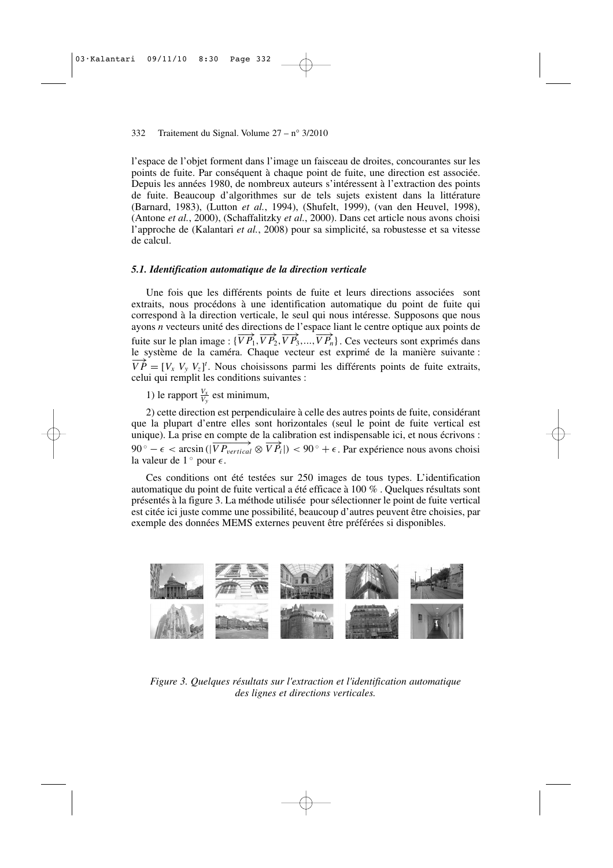l'espace de l'objet forment dans l'image un faisceau de droites, concourantes sur les points de fuite. Par conséquent à chaque point de fuite, une direction est associée. Depuis les années 1980, de nombreux auteurs s'intéressent à l'extraction des points de fuite. Beaucoup d'algorithmes sur de tels sujets existent dans la littérature (Barnard, 1983), (Lutton *et al.*, 1994), (Shufelt, 1999), (van den Heuvel, 1998), (Antone *et al.*, 2000), (Schaffalitzky *et al.*, 2000). Dans cet article nous avons choisi l'approche de (Kalantari *et al.*, 2008) pour sa simplicité, sa robustesse et sa vitesse de calcul.

#### *5.1. Identification automatique de la direction verticale*

Une fois que les différents points de fuite et leurs directions associées sont extraits, nous procédons à une identification automatique du point de fuite qui correspond à la direction verticale, le seul qui nous intéresse. Supposons que nous ayons *n* vecteurs unité des directions de l'espace liant le centre optique aux points de fuite sur le plan image :  $\{\overrightarrow{VP_1}, \overrightarrow{VP_2}, \overrightarrow{VP_3}, ..., \overrightarrow{VP_n}\}$ . Ces vecteurs sont exprimés dans le système de la caméra. Chaque vecteur est exprimé de la manière suivante :  $\overrightarrow{VP} = [V_x \ V_y \ V_z]^t$ . Nous choisissons parmi les différents points de fuite extraits, celui qui remplit les conditions suivantes :

1) le rapport  $\frac{V_x}{V_y}$  est minimum,

2) cette direction est perpendiculaire à celle des autres points de fuite, considérant que la plupart d'entre elles sont horizontales (seul le point de fuite vertical est unique). La prise en compte de la calibration est indispensable ici, et nous écrivons : 90 ° –  $\epsilon$  < arcsin (| $\overrightarrow{VP}_{vertical} \otimes \overrightarrow{VP}_i$ |) < 90 ° +  $\epsilon$ . Par expérience nous avons choisi la valeur de  $1^{\circ}$  pour  $\epsilon$ .

Ces conditions ont été testées sur 250 images de tous types. L'identification automatique du point de fuite vertical a été efficace à 100 % . Quelques résultats sont présentés à la figure 3. La méthode utilisée pour sélectionner le point de fuite vertical est citée ici juste comme une possibilité, beaucoup d'autres peuvent être choisies, par exemple des données MEMS externes peuvent être préférées si disponibles.



*Figure 3. Quelques résultats sur l'extraction et l'identification automatique des lignes et directions verticales.*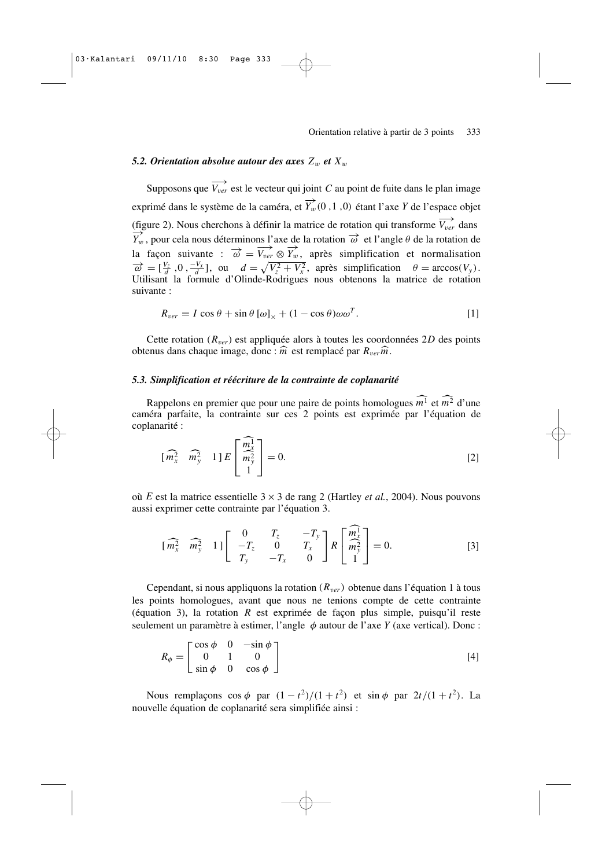## *5.2. Orientation absolue autour des axes*  $Z_w$  *et*  $X_w$

Supposons que  $\overrightarrow{V_{ver}}$  est le vecteur qui joint *C* au point de fuite dans le plan image exprimé dans le système de la caméra, et  $\overrightarrow{Y}_w(0, 1, 0)$  étant l'axe *Y* de l'espace objet (figure 2). Nous cherchons à définir la matrice de rotation qui transforme  $\overrightarrow{V_{\textit{ver}}}$  dans  $\overrightarrow{Y}_w$ , pour cela nous déterminons l'axe de la rotation  $\overrightarrow{\omega}$  et l'angle  $\theta$  de la rotation de la façon suivante :  $\overrightarrow{\omega} = \overrightarrow{V_{ver}} \otimes \overrightarrow{Y_w}$ , après simplification et normalisation  $\vec{\omega} = [\frac{V_z}{d}, 0, \frac{-V_x}{d}]$ , ou  $d = \sqrt{V_z^2 + V_x^2}$ , après simplification  $\theta = \arccos(V_y)$ . Utilisant la formule d'Olinde-Rodrigues nous obtenons la matrice de rotation suivante :

$$
R_{ver} = I \cos \theta + \sin \theta \left[ \omega \right]_{\times} + (1 - \cos \theta) \omega \omega^{T}.
$$
 [1]

Cette rotation  $(R_{ver})$  est appliquée alors à toutes les coordonnées 2D des points obtenus dans chaque image, donc : *<sup>m</sup>*- est remplacé par *R*<sup>v</sup>*erm*-.

# *5.3. Simplification et réécriture de la contrainte de coplanarité*

Rappelons en premier que pour une paire de points homologues *m*<sup>1</sup> et *m*<sup>2</sup> d'une caméra parfaite, la contrainte sur ces 2 points est exprimée par l'équation de coplanarité :

$$
\begin{bmatrix} \widehat{m_x^2} & \widehat{m_y^2} & 1 \end{bmatrix} E \begin{bmatrix} \widehat{m_x^1} \\ \widehat{m_y^2} \\ 1 \end{bmatrix} = 0. \tag{2}
$$

où *E* est la matrice essentielle 3 × 3 de rang 2 (Hartley *et al.*, 2004). Nous pouvons aussi exprimer cette contrainte par l'équation 3.

$$
\begin{bmatrix} \widehat{m_x^2} & \widehat{m_y^2} & 1 \end{bmatrix} \begin{bmatrix} 0 & T_z & -T_y \\ -T_z & 0 & T_x \\ T_y & -T_x & 0 \end{bmatrix} R \begin{bmatrix} \widehat{m_x^1} \\ \widehat{m_y^2} \\ 1 \end{bmatrix} = 0. \tag{3}
$$

Cependant, si nous appliquons la rotation  $(R_{ver})$  obtenue dans l'équation 1 à tous les points homologues, avant que nous ne tenions compte de cette contrainte (équation 3), la rotation *R* est exprimée de façon plus simple, puisqu'il reste seulement un paramètre à estimer, l'angle φ autour de l'axe *Y* (axe vertical). Donc :

$$
R_{\phi} = \begin{bmatrix} \cos \phi & 0 & -\sin \phi \\ 0 & 1 & 0 \\ \sin \phi & 0 & \cos \phi \end{bmatrix}
$$
 [4]

Nous remplaçons  $\cos \phi$  par  $(1 - t^2)/(1 + t^2)$  et  $\sin \phi$  par  $2t/(1 + t^2)$ . La nouvelle équation de coplanarité sera simplifiée ainsi :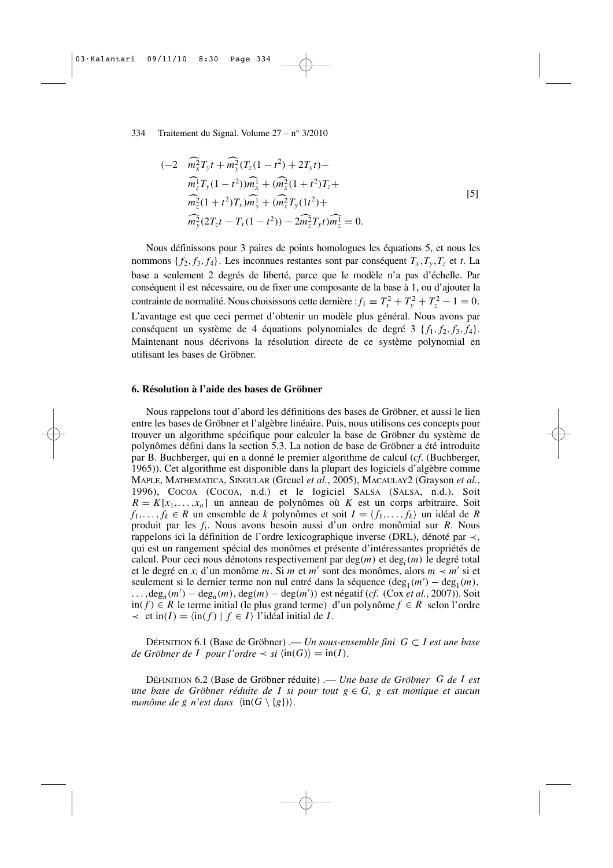334 Traitement du Signal. Volume 27 – n° 3/2010

$$
(-2 \widehat{m_x^2} T_y t + \widehat{m_y^2} (T_z (1 - t^2) + 2T_x t) -
$$
  
\n
$$
\widehat{m_z^1} T_y (1 - t^2) \widehat{m_x^1} + (\widehat{m_x^2} (1 + t^2) T_z +
$$
  
\n
$$
\widehat{m_z^2} (1 + t^2) T_x \widehat{m_y^1} + (\widehat{m_x^2} T_y (1 t^2) +
$$
  
\n
$$
\widehat{m_y^2} (2T_z t - T_x (1 - t^2)) - 2 \widehat{m_z^2} T_y t) \widehat{m_z^1} = 0.
$$
\n
$$
(5)
$$

Nous définissons pour 3 paires de points homologues les équations 5, et nous les nommons  $\{f_2, f_3, f_4\}$ . Les inconnues restantes sont par conséquent  $T_x, T_y, T_z$  et *t*. La base a seulement 2 degrés de liberté, parce que le modèle n'a pas d'échelle. Par conséquent il est nécessaire, ou de fixer une composante de la base à 1, ou d'ajouter la contrainte de normalité. Nous choisissons cette dernière :  $f_1 \equiv T_x^2 + T_y^2 + T_z^2 - 1 = 0$ . L'avantage est que ceci permet d'obtenir un modèle plus général. Nous avons par conséquent un système de 4 équations polynomiales de degré 3  $\{f_1, f_2, f_3, f_4\}$ . Maintenant nous décrivons la résolution directe de ce système polynomial en utilisant les bases de Gröbner.

## **6. Résolution à l'aide des bases de Gröbner**

Nous rappelons tout d'abord les définitions des bases de Gröbner, et aussi le lien entre les bases de Gröbner et l'algèbre linéaire. Puis, nous utilisons ces concepts pour trouver un algorithme spécifique pour calculer la base de Gröbner du système de polynômes défini dans la section 5.3. La notion de base de Gröbner a été introduite par B. Buchberger, qui en a donné le premier algorithme de calcul (*cf*. (Buchberger, 1965)). Cet algorithme est disponible dans la plupart des logiciels d'algèbre comme MAPLE, MATHEMATICA, SINGULAR (Greuel *et al.*, 2005), MACAULAY2 (Grayson *et al.*, 1996), COCOA (COCOA, n.d.) et le logiciel SALSA (SALSA, n.d.). Soit  $R = K[x_1, \ldots, x_n]$  un anneau de polynômes où *K* est un corps arbitraire. Soit *f*<sub>1</sub>,..., *f*<sup>*k*</sup> ∈ *R* un ensemble de *k* polynômes et soit *I* =  $\langle f_1, \ldots, f_k \rangle$  un idéal de *R* produit par les *f<sup>i</sup>* . Nous avons besoin aussi d'un ordre monômial sur *R*. Nous rappelons ici la définition de l'ordre lexicographique inverse (DRL), dénoté par ≺, qui est un rangement spécial des monômes et présente d'intéressantes propriétés de calcul. Pour ceci nous dénotons respectivement par deg(*m*) et deg*<sup>i</sup>* (*m*) le degré total et le degré en *x<sup>i</sup>* d'un monôme *m*. Si *m* et *m*′ sont des monômes, alors *m* ≺ *m*′ si et seulement si le dernier terme non nul entré dans la séquence  $(\deg_1(m') - \deg_1(m))$ , ...,deg*<sup>n</sup>* (*m*′ ) − deg*<sup>n</sup>* (*m*), deg(*m*) − deg(*m*′ )) est négatif (*cf*. (Cox *et al.*, 2007)). Soit in( *f* ) ∈ *R* le terme initial (le plus grand terme) d'un polynôme *f* ∈ *R* selon l'ordre  $\prec$  et in(*I*) =  $\langle \text{in}(f) | f \in I \rangle$  l'idéal initial de *I*.

DÉFINITION 6.1 (Base de Gröbner) .–– *Un sous-ensemble fini G* ⊂ *I est une base de Gröbner de I pour l'ordre*  $\prec$  *si*  $\langle \text{in}(G) \rangle = \text{in}(I)$ *.* 

DÉFINITION 6.2 (Base de Gröbner réduite) .–– *Une base de Gröbner G de I est une base de Gröbner réduite de I si pour tout g* ∈ *G, g est monique et aucun monôme de g n'est dans*  $\langle \text{in}(G \setminus \{g\}) \rangle$ .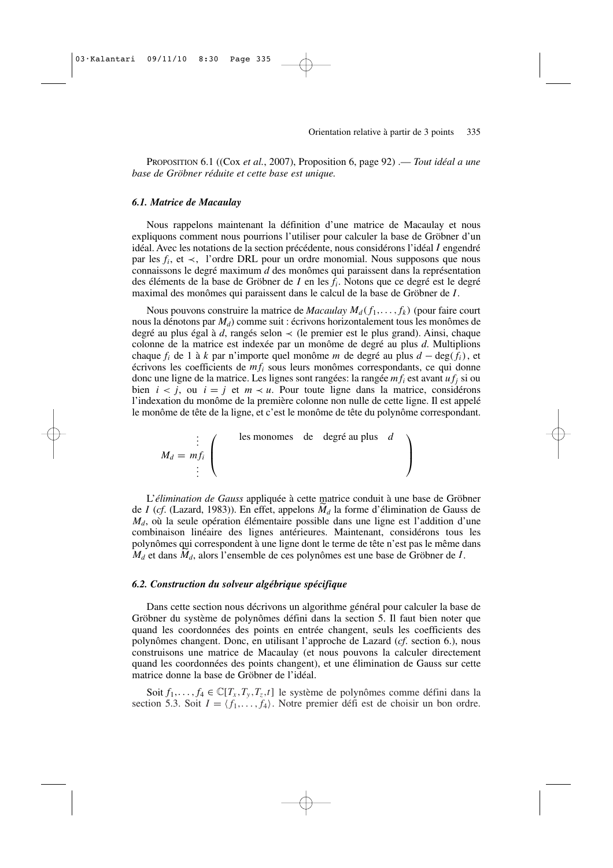PROPOSITION 6.1 ((Cox *et al.*, 2007), Proposition 6, page 92) .–– *Tout idéal a une base de Gröbner réduite et cette base est unique.*

## *6.1. Matrice de Macaulay*

Nous rappelons maintenant la définition d'une matrice de Macaulay et nous expliquons comment nous pourrions l'utiliser pour calculer la base de Gröbner d'un idéal. Avec les notations de la section précédente, nous considérons l'idéal *I* engendré par les  $f_i$ , et  $\prec$ , l'ordre DRL pour un ordre monomial. Nous supposons que nous connaissons le degré maximum *d* des monômes qui paraissent dans la représentation des éléments de la base de Gröbner de *I* en les *f<sup>i</sup>* . Notons que ce degré est le degré maximal des monômes qui paraissent dans le calcul de la base de Gröbner de *I*.

Nous pouvons construire la matrice de *Macaulay*  $M_d(f_1, \ldots, f_k)$  (pour faire court nous la dénotons par *Md*) comme suit : écrivons horizontalement tous les monômes de degré au plus égal à *d*, rangés selon ≺ (le premier est le plus grand). Ainsi, chaque colonne de la matrice est indexée par un monôme de degré au plus *d*. Multiplions chaque  $f_i$  de 1 à  $k$  par n'importe quel monôme  $m$  de degré au plus  $d - \deg(f_i)$ , et écrivons les coefficients de *m f<sup>i</sup>* sous leurs monômes correspondants, ce qui donne donc une ligne de la matrice. Les lignes sont rangées: la rangée *m f<sup>i</sup>* est avant *u f<sup>j</sup>* si ou bien  $i < j$ , ou  $i = j$  et  $m \lt u$ . Pour toute ligne dans la matrice, considérons l'indexation du monôme de la première colonne non nulle de cette ligne. Il est appelé le monôme de tête de la ligne, et c'est le monôme de tête du polynôme correspondant.

$$
M_d = m f_i \left( \begin{array}{ccc} & \text{les monomes} & \text{de} & \text{degré au plus} & d \\ & & \vdots & \\ & & & \end{array} \right)
$$

L'*élimination de Gauss* appliquée à cette matrice conduit à une base de Gröbner de *I* (*cf*. (Lazard, 1983)). En effet, appelons *M<sup>d</sup>* la forme d'élimination de Gauss de *Md*, où la seule opération élémentaire possible dans une ligne est l'addition d'une combinaison linéaire des lignes antérieures. Maintenant, considérons tous les polynômes qui correspondent à une ligne dont le terme de tête n'est pas le même dans *M<sup>d</sup>* et dans *Md*, alors l'ensemble de ces polynômes est une base de Gröbner de *I*.

#### *6.2. Construction du solveur algébrique spécifique*

Dans cette section nous décrivons un algorithme général pour calculer la base de Gröbner du système de polynômes défini dans la section 5. Il faut bien noter que quand les coordonnées des points en entrée changent, seuls les coefficients des polynômes changent. Donc, en utilisant l'approche de Lazard (*cf*. section 6.), nous construisons une matrice de Macaulay (et nous pouvons la calculer directement quand les coordonnées des points changent), et une élimination de Gauss sur cette matrice donne la base de Gröbner de l'idéal.

Soit  $f_1, \ldots, f_4 \in \mathbb{C}[T_x, T_y, T_z, t]$  le système de polynômes comme défini dans la section 5.3. Soit  $I = \langle f_1, \ldots, f_4 \rangle$ . Notre premier défi est de choisir un bon ordre.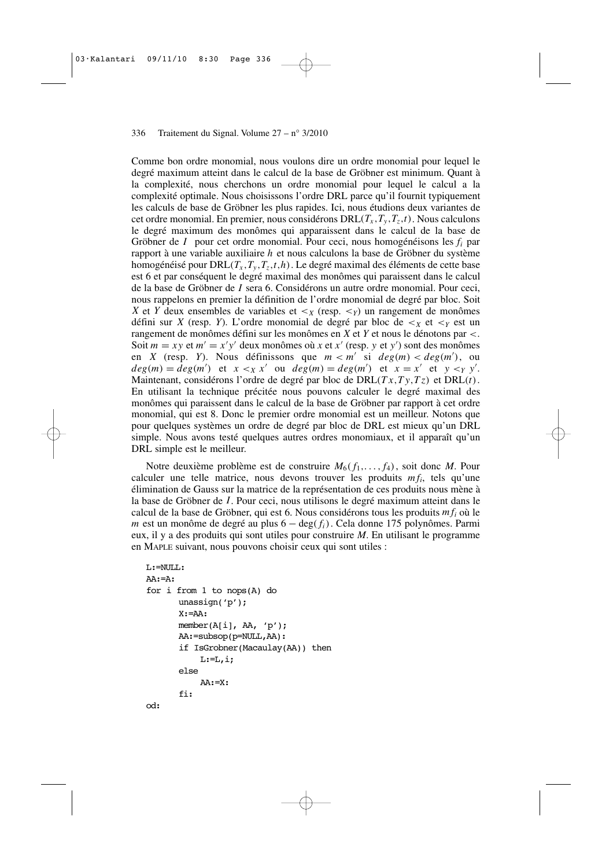Comme bon ordre monomial, nous voulons dire un ordre monomial pour lequel le degré maximum atteint dans le calcul de la base de Gröbner est minimum. Quant à la complexité, nous cherchons un ordre monomial pour lequel le calcul a la complexité optimale. Nous choisissons l'ordre DRL parce qu'il fournit typiquement les calculs de base de Gröbner les plus rapides. Ici, nous étudions deux variantes de cet ordre monomial. En premier, nous considérons  $DRL(T_x, T_y, T_z, t)$ . Nous calculons le degré maximum des monômes qui apparaissent dans le calcul de la base de Gröbner de *I* pour cet ordre monomial. Pour ceci, nous homogénéisons les *f<sup>i</sup>* par rapport à une variable auxiliaire *h* et nous calculons la base de Gröbner du système homogénéisé pour  $DRL(T_x, T_y, T_z, t, h)$ . Le degré maximal des éléments de cette base est 6 et par conséquent le degré maximal des monômes qui paraissent dans le calcul de la base de Gröbner de *I* sera 6. Considérons un autre ordre monomial. Pour ceci, nous rappelons en premier la définition de l'ordre monomial de degré par bloc. Soit *X* et *Y* deux ensembles de variables et  $\lt_x$  (resp.  $\lt_y$ ) un rangement de monômes défini sur *X* (resp. *Y*). L'ordre monomial de degré par bloc de  $\lt_x$  et  $\lt_y$  est un rangement de monômes défini sur les monômes en *X* et *Y* et nous le dénotons par <. Soit  $m = xy$  et  $m' = x'y'$  deux monômes où *x* et *x'* (resp. *y* et *y'*) sont des monômes en *X* (resp. *Y*). Nous définissons que  $m < m'$  si  $deg(m) < deg(m')$ , ou  $deg(m) = deg(m')$  et  $x <_X x'$  ou  $deg(m) = deg(m')$  et  $x = x'$  et  $y <_Y y'$ . Maintenant, considérons l'ordre de degré par bloc de DRL(*T x*,*T y*,*T z*) et DRL(*t*). En utilisant la technique précitée nous pouvons calculer le degré maximal des monômes qui paraissent dans le calcul de la base de Gröbner par rapport à cet ordre monomial, qui est 8. Donc le premier ordre monomial est un meilleur. Notons que pour quelques systèmes un ordre de degré par bloc de DRL est mieux qu'un DRL simple. Nous avons testé quelques autres ordres monomiaux, et il apparaît qu'un DRL simple est le meilleur.

Notre deuxième problème est de construire  $M_6(f_1,\ldots,f_4)$ , soit donc M. Pour calculer une telle matrice, nous devons trouver les produits *m f<sup>i</sup>* , tels qu'une élimination de Gauss sur la matrice de la représentation de ces produits nous mène à la base de Gröbner de *I*. Pour ceci, nous utilisons le degré maximum atteint dans le calcul de la base de Gröbner, qui est 6. Nous considérons tous les produits *m f<sup>i</sup>* où le *m* est un monôme de degré au plus 6 − deg( $f$ <sup>*i*</sup>). Cela donne 175 polynômes. Parmi eux, il y a des produits qui sont utiles pour construire *M*. En utilisant le programme en MAPLE suivant, nous pouvons choisir ceux qui sont utiles :

```
L:=NULL:
AA:=A:
for i from 1 to nops(A) do
      unassign('p');
      X:=AA:
      member(A[i], AA, 'p');
      AA:=subsop(p=NULL,AA):
       if IsGrobner(Macaulay(AA)) then
           L:=L, i;else
           AA:=X:
       fi:
od:
```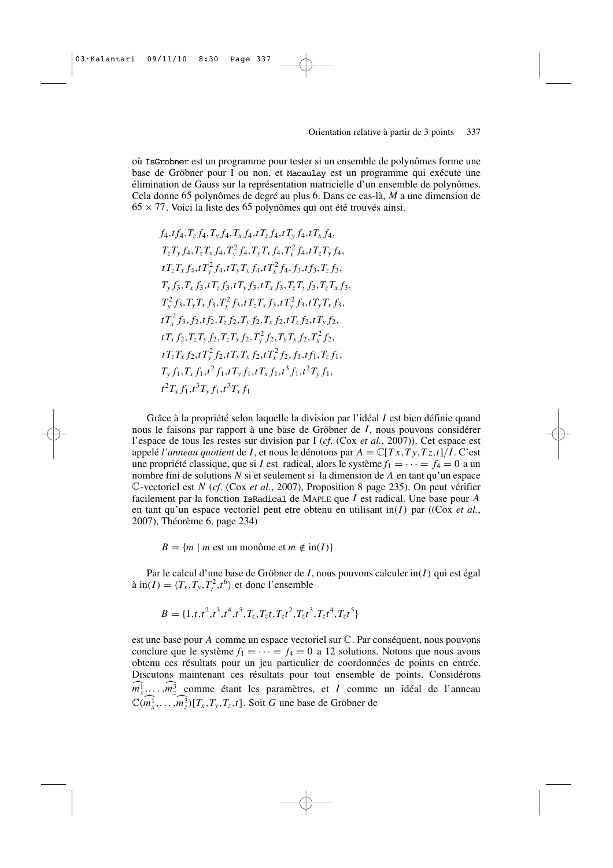où IsGrobner est un programme pour tester si un ensemble de polynômes forme une base de Gröbner pour I ou non, et Macaulay est un programme qui exécute une élimination de Gauss sur la représentation matricielle d'un ensemble de polynômes. Cela donne 65 polynômes de degré au plus 6. Dans ce cas-là, *M* a une dimension de  $65 \times 77$ . Voici la liste des 65 polynômes qui ont été trouvés ainsi.

$$
f_{4}, f_{4}, T_{z} f_{4}, T_{y} f_{4}, T_{x} f_{4}, T_{z} f_{4}, T_{y} f_{4}, T_{y} f_{4}, T_{x} f_{4},
$$
  
\n
$$
T_{z} T_{y} f_{4}, T_{z} T_{x} f_{4}, T_{y}^{2} f_{4}, T_{y} T_{x} f_{4}, T_{x}^{2} f_{4}, t T_{z} T_{y} f_{4},
$$
  
\n
$$
t T_{z} T_{x} f_{4}, t T_{y}^{2} f_{4}, t T_{y} T_{x} f_{4}, t T_{x}^{2} f_{4}, f_{3}, t f_{3}, T_{z} f_{3},
$$
  
\n
$$
T_{y} f_{3}, T_{x} f_{3}, t T_{z} f_{3}, t T_{y} f_{3}, t T_{x} f_{3}, T_{z} T_{y} f_{3}, T_{z} T_{x} f_{3},
$$
  
\n
$$
T_{y}^{2} f_{3}, T_{y} T_{x} f_{3}, T_{x}^{2} f_{3}, t T_{z} T_{x} f_{3}, t T_{y}^{2} f_{3}, t T_{y} T_{x} f_{3},
$$
  
\n
$$
t T_{x}^{2} f_{3}, f_{2}, t f_{2}, T_{z} f_{2}, T_{y} f_{2}, T_{x} f_{2}, T_{z} f_{2}, T_{y} f_{2}, T_{y} f_{2},
$$
  
\n
$$
t T_{x} f_{2}, T_{z} T_{y} f_{2}, T_{z} T_{x} f_{2}, T_{y}^{2} f_{2}, T_{y} T_{x} f_{2}, T_{x}^{2} f_{2},
$$
  
\n
$$
t T_{z} T_{x} f_{2}, t T_{y}^{2} f_{2}, t T_{y} T_{x} f_{2}, t T_{x}^{2} f_{2}, f_{1}, t f_{1}, T_{z} f_{1},
$$
  
\n
$$
T_{y} f_{1}, T_{x} f_{1}, t^{2} f_{1}, t T_{y} f_{1}, t T_{x} f_{1}, t^{3} f_{1}, t^{2} T_{y} f_{1},
$$
  
\n
$$
t^{2} T_{x} f_{1}, t^{3} T_{y} f_{1}, t^{3} T_{x} f_{1}
$$

Grâce à la propriété selon laquelle la division par l'idéal *I* est bien définie quand nous le faisons par rapport à une base de Gröbner de *I*, nous pouvons considérer l'espace de tous les restes sur division par I (*cf*. (Cox *et al.*, 2007)). Cet espace est appelé *l'anneau quotient* de *I*, et nous le dénotons par  $A = \mathbb{C}[Tx, Ty, Tz, t]/I$ . C'est une propriété classique, que si *I* est radical, alors le système  $f_1 = \cdots = f_4 = 0$  a un nombre fini de solutions *N* si et seulement si la dimension de *A* en tant qu'un espace C-vectoriel est *N* (*cf*. (Cox *et al.*, 2007), Proposition 8 page 235). On peut vérifier facilement par la fonction IsRadical de MAPLE que *I* est radical. Une base pour *A* en tant qu'un espace vectoriel peut etre obtenu en utilisant in(*I*) par ((Cox *et al.*, 2007), Théorème 6, page 234)

 $B = \{m \mid m$  est un monôme et  $m \notin \text{in}(I)\}$ 

Par le calcul d'une base de Gröbner de *I*, nous pouvons calculer in(*I*) qui est égal à in(*I*) =  $\langle T_x, T_y, T_z^2, t^6 \rangle$  et donc l'ensemble

*B* = {1,*t*,*t* 2 ,*t* 3 ,*t* 4 ,*t* 5 ,*Tz*,*T<sup>z</sup> t*,*T<sup>z</sup> t* 2 ,*T<sup>z</sup> t* 3 ,*T<sup>z</sup> t* 4 ,*T<sup>z</sup> t* 5 }

est une base pour *A* comme un espace vectoriel sur C. Par conséquent, nous pouvons conclure que le système  $f_1 = \cdots = f_4 = 0$  a 12 solutions. Notons que nous avons obtenu ces résultats pour un jeu particulier de coordonnées de points en entrée. Discutons maintenant ces résultats pour tout ensemble de points. Considérons  $m_x^1, \ldots, m_z^3$  comme étant les paramètres, et *I* comme un idéal de l'anneau  $\mathbb{C}(m_x^1, \ldots, m_z^3)[T_x, T_y, T_z, t]$ . Soit *G* une base de Gröbner de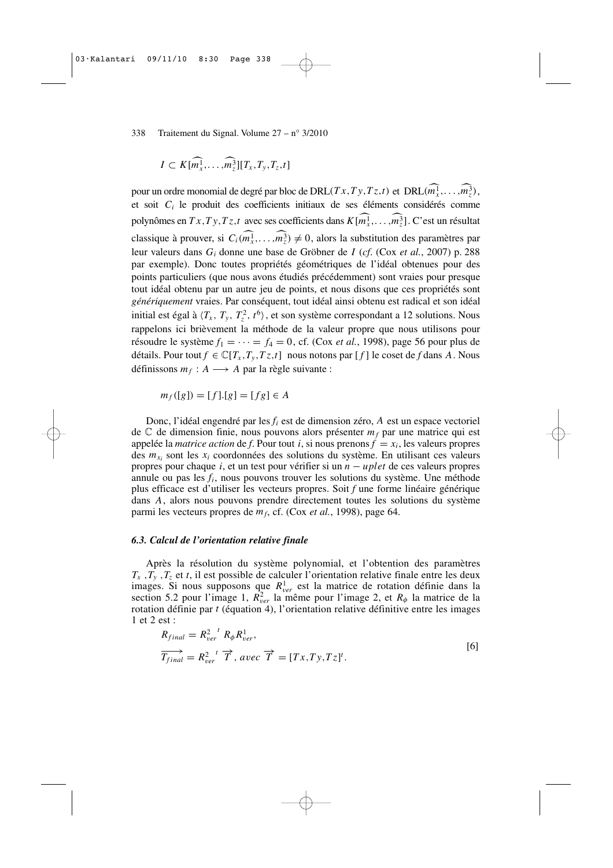$$
I \subset K[\widehat{m_x^1}, \ldots, \widehat{m_z^3}][T_x, T_y, T_z, t]
$$

pour un ordre monomial de degré par bloc de DRL( $Tx, Ty, Tz,t$ ) et DRL( $m_x^1, \ldots, m_z^3$ ), et soit *C<sup>i</sup>* le produit des coefficients initiaux de ses éléments considérés comme polynômes en  $Tx, Ty, Tz, t$  avec ses coefficients dans  $K[m_x^1, \ldots, m_z^3]$ . C'est un résultat classique à prouver, si  $C_i(m_x^1, \ldots, m_z^3) \neq 0$ , alors la substitution des paramètres par leur valeurs dans *G<sup>i</sup>* donne une base de Gröbner de *I* (*cf*. (Cox *et al.*, 2007) p. 288 par exemple). Donc toutes propriétés géométriques de l'idéal obtenues pour des points particuliers (que nous avons étudiés précédemment) sont vraies pour presque tout idéal obtenu par un autre jeu de points, et nous disons que ces propriétés sont *génériquement* vraies. Par conséquent, tout idéal ainsi obtenu est radical et son idéal initial est égal à  $\langle T_x, T_y, T_z^2, t^6 \rangle$ , et son système correspondant a 12 solutions. Nous rappelons ici brièvement la méthode de la valeur propre que nous utilisons pour résoudre le système  $f_1 = \cdots = f_4 = 0$ , cf. (Cox *et al.*, 1998), page 56 pour plus de détails. Pour tout  $f \in \mathbb{C}[T_x, T_y, T_z, t]$  nous notons par  $[f]$  le coset de *f* dans *A*. Nous définissons  $m_f: A \longrightarrow A$  par la règle suivante :

$$
m_f([g]) = [f].[g] = [fg] \in A
$$

Donc, l'idéal engendré par les *f<sup>i</sup>* est de dimension zéro, *A* est un espace vectoriel de C de dimension finie, nous pouvons alors présenter *m<sup>f</sup>* par une matrice qui est appelée la *matrice action* de *f*. Pour tout *i*, si nous prenons  $f = x_i$ , les valeurs propres des  $m_{x_i}$  sont les  $x_i$  coordonnées des solutions du système. En utilisant ces valeurs propres pour chaque *i*, et un test pour vérifier si un *n* − *uplet* de ces valeurs propres annule ou pas les *f<sup>i</sup>* , nous pouvons trouver les solutions du système. Une méthode plus efficace est d'utiliser les vecteurs propres. Soit *f* une forme linéaire générique dans *A*, alors nous pouvons prendre directement toutes les solutions du système parmi les vecteurs propres de *m<sup>f</sup>* , cf. (Cox *et al.*, 1998), page 64.

#### *6.3. Calcul de l'orientation relative finale*

Après la résolution du système polynomial, et l'obtention des paramètres  $T_x$ ,  $T_y$ ,  $T_z$  et *t*, il est possible de calculer l'orientation relative finale entre les deux images. Si nous supposons que  $R_{ver}^1$  est la matrice de rotation définie dans la section 5.2 pour l'image 1,  $R_{ver}^2$  la même pour l'image 2, et  $R_{\phi}$  la matrice de la rotation définie par *t* (équation 4), l'orientation relative définitive entre les images 1 et 2 est :

$$
R_{final} = R_{ver}^{2} {}^{t} R_{\phi} R_{ver}^{1},
$$
  
\n
$$
\overrightarrow{T_{final}} = R_{ver}^{2} {}^{t} \overrightarrow{T}, avec \overrightarrow{T} = [Tx, Ty, Tz]^{t}.
$$
  
\n[6]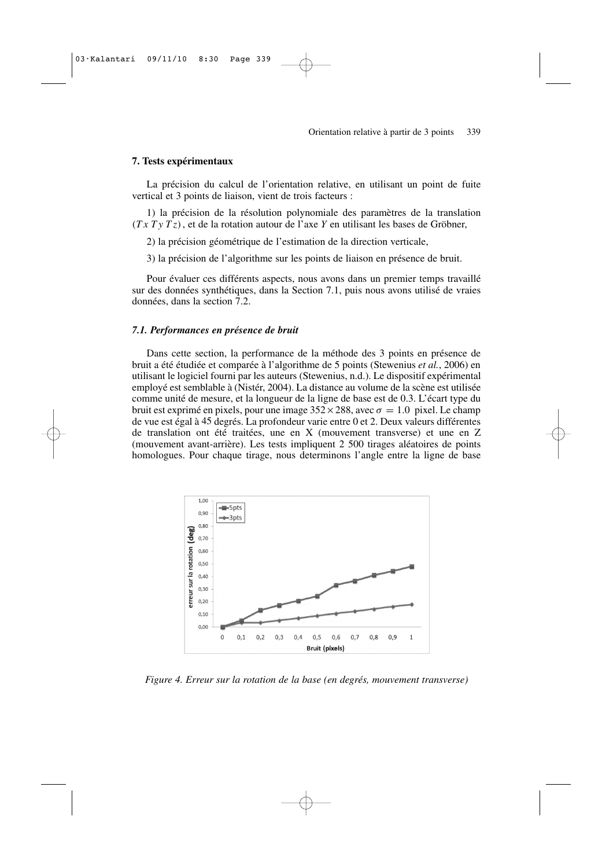## **7. Tests expérimentaux**

La précision du calcul de l'orientation relative, en utilisant un point de fuite vertical et 3 points de liaison, vient de trois facteurs :

1) la précision de la résolution polynomiale des paramètres de la translation (*TxTy Tz*), et de la rotation autour de l'axe *Y* en utilisant les bases de Gröbner,

2) la précision géométrique de l'estimation de la direction verticale,

3) la précision de l'algorithme sur les points de liaison en présence de bruit.

Pour évaluer ces différents aspects, nous avons dans un premier temps travaillé sur des données synthétiques, dans la Section 7.1, puis nous avons utilisé de vraies données, dans la section 7.2.

## *7.1. Performances en présence de bruit*

Dans cette section, la performance de la méthode des 3 points en présence de bruit a été étudiée et comparée à l'algorithme de 5 points (Stewenius *et al.*, 2006) en utilisant le logiciel fourni par les auteurs (Stewenius, n.d.). Le dispositif expérimental employé est semblable à (Nistér, 2004). La distance au volume de la scène est utilisée comme unité de mesure, et la longueur de la ligne de base est de 0.3. L'écart type du bruit est exprimé en pixels, pour une image  $352 \times 288$ , avec  $\sigma = 1.0$  pixel. Le champ de vue est égal à 45 degrés. La profondeur varie entre 0 et 2. Deux valeurs différentes de translation ont été traitées, une en X (mouvement transverse) et une en Z (mouvement avant-arrière). Les tests impliquent 2 500 tirages aléatoires de points homologues. Pour chaque tirage, nous determinons l'angle entre la ligne de base



*Figure 4. Erreur sur la rotation de la base (en degrés, mouvement transverse)*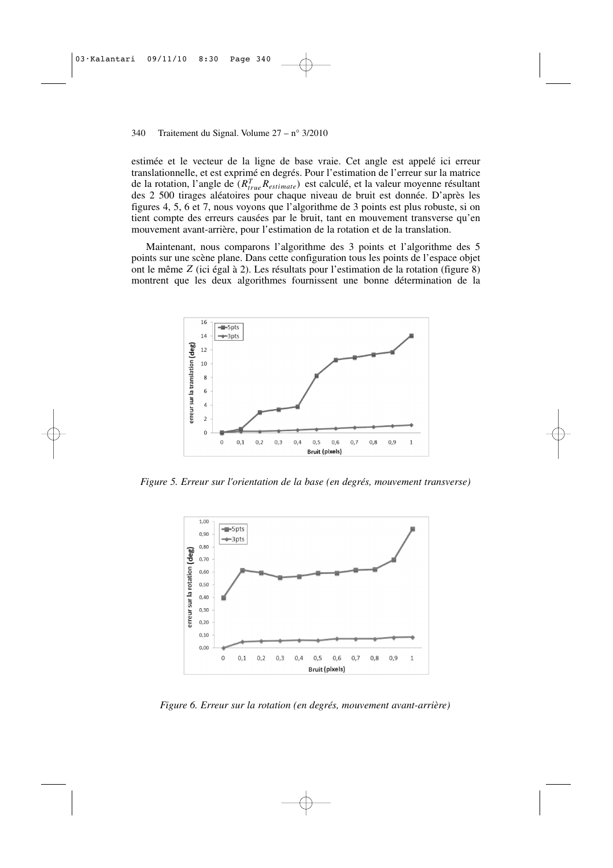estimée et le vecteur de la ligne de base vraie. Cet angle est appelé ici erreur translationnelle, et est exprimé en degrés. Pour l'estimation de l'erreur sur la matrice de la rotation, l'angle de (*R T trueRestimate*) est calculé, et la valeur moyenne résultant des 2 500 tirages aléatoires pour chaque niveau de bruit est donnée. D'après les figures 4, 5, 6 et 7, nous voyons que l'algorithme de 3 points est plus robuste, si on tient compte des erreurs causées par le bruit, tant en mouvement transverse qu'en mouvement avant-arrière, pour l'estimation de la rotation et de la translation.

Maintenant, nous comparons l'algorithme des 3 points et l'algorithme des 5 points sur une scène plane. Dans cette configuration tous les points de l'espace objet ont le même *Z* (ici égal à 2). Les résultats pour l'estimation de la rotation (figure 8) montrent que les deux algorithmes fournissent une bonne détermination de la



*Figure 5. Erreur sur l'orientation de la base (en degrés, mouvement transverse)*



*Figure 6. Erreur sur la rotation (en degrés, mouvement avant-arrière)*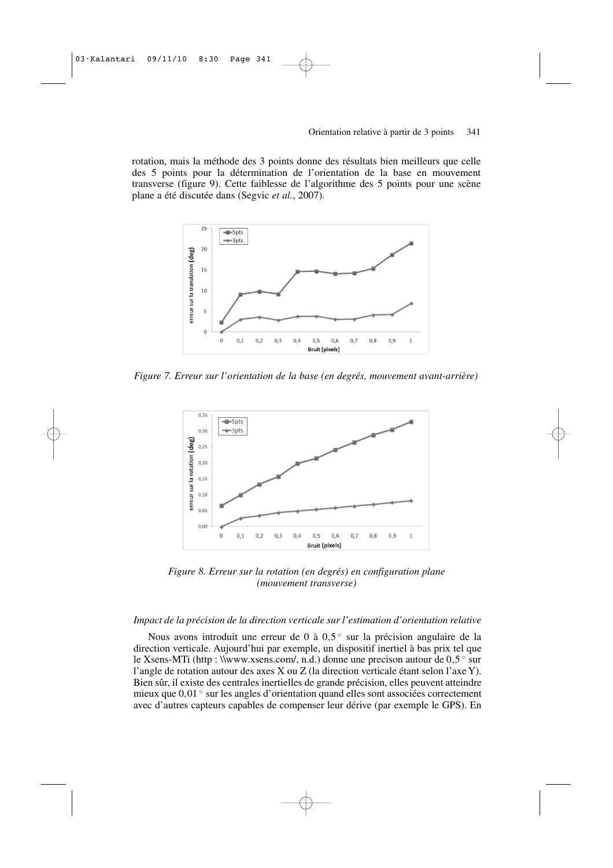rotation, mais la méthode des 3 points donne des résultats bien meilleurs que celle des 5 points pour la détermination de l'orientation de la base en mouvement transverse (figure 9). Cette faiblesse de l'algorithme des 5 points pour une scène plane a été discutée dans (Segvic *et al.*, 2007).



*Figure 7. Erreur sur l'orientation de la base (en degrés, mouvement avant-arrière)*



*Figure 8. Erreur sur la rotation (en degrés) en configuration plane (mouvement transverse)*

## *Impact de la précision de la direction verticale sur l'estimation d'orientation relative*

Nous avons introduit une erreur de 0 à 0,5° sur la précision angulaire de la direction verticale. Aujourd'hui par exemple, un dispositif inertiel à bas prix tel que le Xsens-MTi (http : \\www.xsens.com/, n.d.) donne une precison autour de 0,5° sur l'angle de rotation autour des axes X ou Z (la direction verticale étant selon l'axe Y). Bien sûr, il existe des centrales inertielles de grande précision, elles peuvent atteindre mieux que 0,01 ◦ sur les angles d'orientation quand elles sont associées correctement avec d'autres capteurs capables de compenser leur dérive (par exemple le GPS). En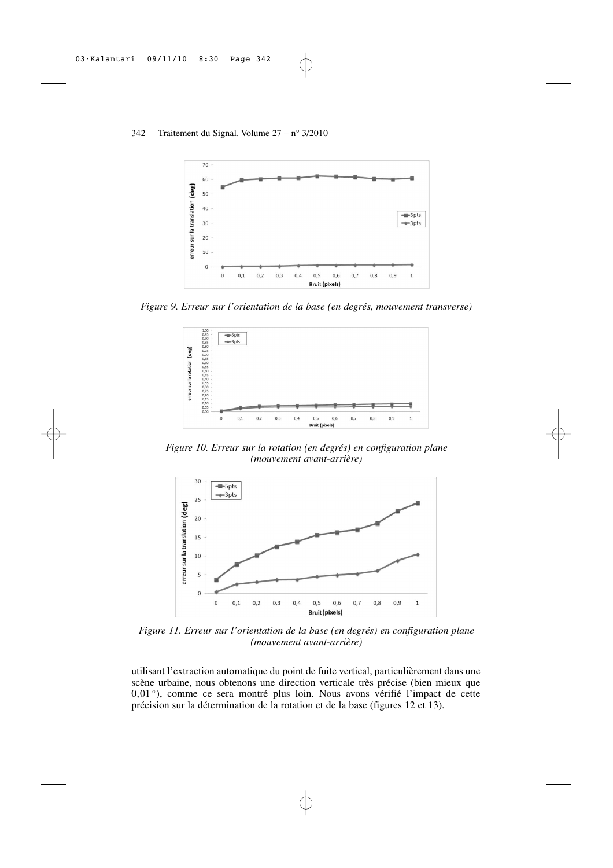

*Figure 9. Erreur sur l'orientation de la base (en degrés, mouvement transverse)*



*Figure 10. Erreur sur la rotation (en degrés) en configuration plane (mouvement avant-arrière)*



*Figure 11. Erreur sur l'orientation de la base (en degrés) en configuration plane (mouvement avant-arrière)*

utilisant l'extraction automatique du point de fuite vertical, particulièrement dans une scène urbaine, nous obtenons une direction verticale très précise (bien mieux que 0,01<sup>°</sup>), comme ce sera montré plus loin. Nous avons vérifié l'impact de cette précision sur la détermination de la rotation et de la base (figures 12 et 13).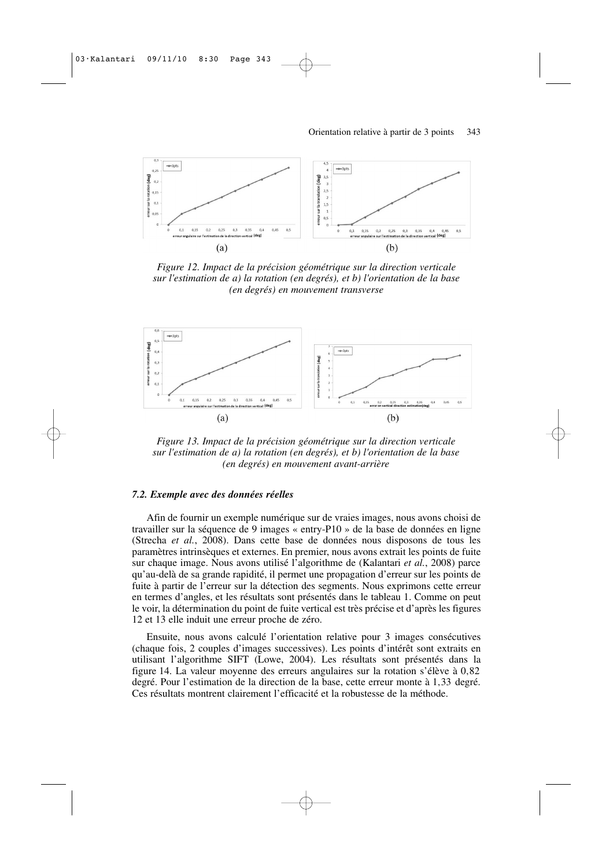

*Figure 12. Impact de la précision géométrique sur la direction verticale sur l'estimation de a) la rotation (en degrés), et b) l'orientation de la base (en degrés) en mouvement transverse*



*Figure 13. Impact de la précision géométrique sur la direction verticale sur l'estimation de a) la rotation (en degrés), et b) l'orientation de la base (en degrés) en mouvement avant-arrière*

## *7.2. Exemple avec des données réelles*

Afin de fournir un exemple numérique sur de vraies images, nous avons choisi de travailler sur la séquence de 9 images « entry-P10 » de la base de données en ligne (Strecha *et al.*, 2008). Dans cette base de données nous disposons de tous les paramètres intrinsèques et externes. En premier, nous avons extrait les points de fuite sur chaque image. Nous avons utilisé l'algorithme de (Kalantari *et al.*, 2008) parce qu'au-delà de sa grande rapidité, il permet une propagation d'erreur sur les points de fuite à partir de l'erreur sur la détection des segments. Nous exprimons cette erreur en termes d'angles, et les résultats sont présentés dans le tableau 1. Comme on peut le voir, la détermination du point de fuite vertical est très précise et d'après les figures 12 et 13 elle induit une erreur proche de zéro.

Ensuite, nous avons calculé l'orientation relative pour 3 images consécutives (chaque fois, 2 couples d'images successives). Les points d'intérêt sont extraits en utilisant l'algorithme SIFT (Lowe, 2004). Les résultats sont présentés dans la figure 14. La valeur moyenne des erreurs angulaires sur la rotation s'élève à 0,82 degré. Pour l'estimation de la direction de la base, cette erreur monte à 1,33 degré. Ces résultats montrent clairement l'efficacité et la robustesse de la méthode.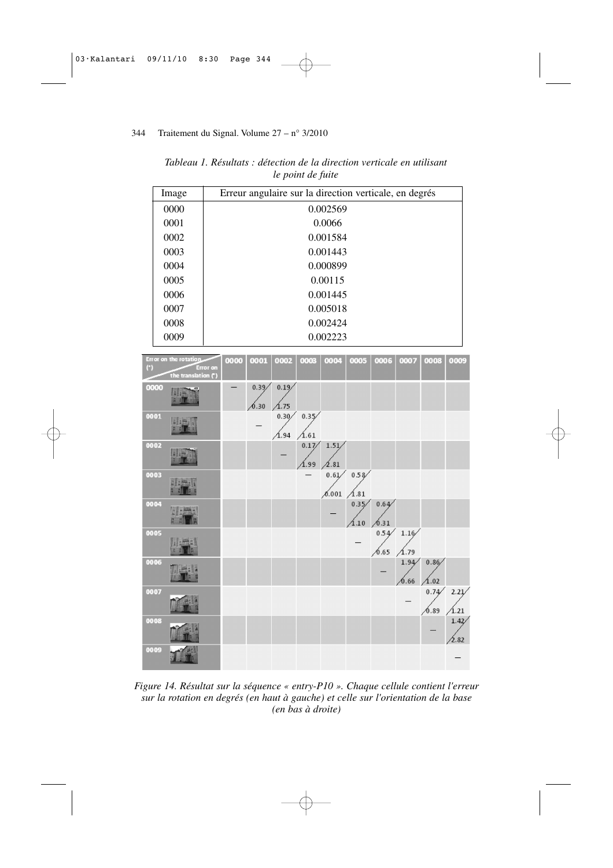| Image | Erreur angulaire sur la direction verticale, en degrés |
|-------|--------------------------------------------------------|
| 0000  | 0.002569                                               |
| 0001  | 0.0066                                                 |
| 0002  | 0.001584                                               |
| 0003  | 0.001443                                               |
| 0004  | 0.000899                                               |
| 0005  | 0.00115                                                |
| 0006  | 0.001445                                               |
| 0007  | 0.005018                                               |
| 0008  | 0.002424                                               |
| 0009  | 0.002223                                               |

*Tableau 1. Résultats : détection de la direction verticale en utilisant le point de fuite*



*Figure 14. Résultat sur la séquence « entry-P10 ». Chaque cellule contient l'erreur sur la rotation en degrés (en haut à gauche) et celle sur l'orientation de la base (en bas à droite)*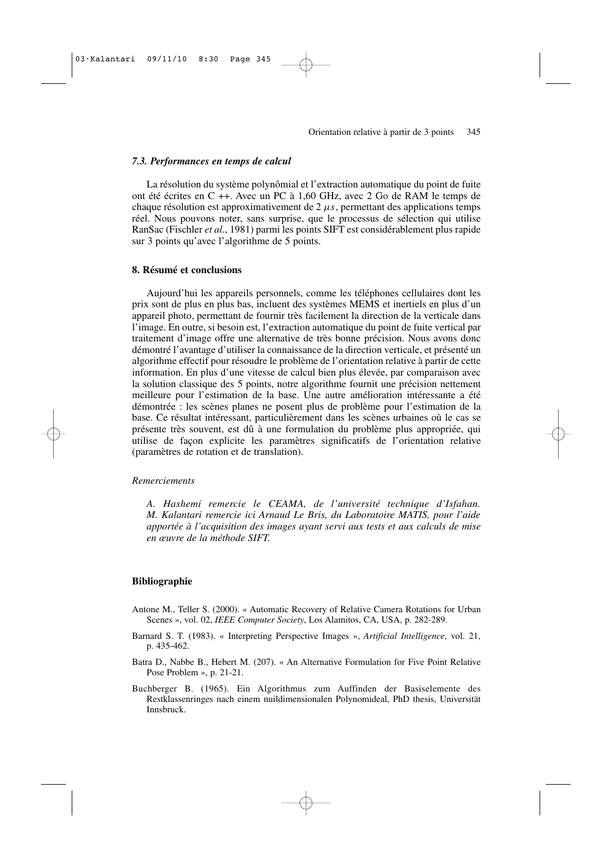## *7.3. Performances en temps de calcul*

La résolution du système polynômial et l'extraction automatique du point de fuite ont été écrites en C ++. Avec un PC à 1,60 GHz, avec 2 Go de RAM le temps de chaque résolution est approximativement de  $2 \mu s$ , permettant des applications temps réel. Nous pouvons noter, sans surprise, que le processus de sélection qui utilise RanSac (Fischler *et al.*, 1981) parmi les points SIFT est considérablement plus rapide sur 3 points qu'avec l'algorithme de 5 points.

## **8. Résumé et conclusions**

Aujourd'hui les appareils personnels, comme les téléphones cellulaires dont les prix sont de plus en plus bas, incluent des systèmes MEMS et inertiels en plus d'un appareil photo, permettant de fournir très facilement la direction de la verticale dans l'image. En outre, si besoin est, l'extraction automatique du point de fuite vertical par traitement d'image offre une alternative de très bonne précision. Nous avons donc démontré l'avantage d'utiliser la connaissance de la direction verticale, et présenté un algorithme effectif pour résoudre le problème de l'orientation relative à partir de cette information. En plus d'une vitesse de calcul bien plus élevée, par comparaison avec la solution classique des 5 points, notre algorithme fournit une précision nettement meilleure pour l'estimation de la base. Une autre amélioration intéressante a été démontrée : les scènes planes ne posent plus de problème pour l'estimation de la base. Ce résultat intéressant, particulièrement dans les scènes urbaines où le cas se présente très souvent, est dû à une formulation du problème plus appropriée, qui utilise de façon explicite les paramètres significatifs de l'orientation relative (paramètres de rotation et de translation).

## *Remerciements*

*A. Hashemi remercie le CEAMA, de l'université technique d'Isfahan. M. Kalantari remercie ici Arnaud Le Bris, du Laboratoire MATIS, pour l'aide apportée à l'acquisition des images ayant servi aux tests et aux calculs de mise en œuvre de la méthode SIFT.*

#### **Bibliographie**

- Antone M., Teller S. (2000). « Automatic Recovery of Relative Camera Rotations for Urban Scenes », vol. 02, *IEEE Computer Society*, Los Alamitos, CA, USA, p. 282-289.
- Barnard S. T. (1983). « Interpreting Perspective Images », *Artificial Intelligence*, vol. 21, p. 435-462.
- Batra D., Nabbe B., Hebert M. (207). « An Alternative Formulation for Five Point Relative Pose Problem », p. 21-21.
- Buchberger B. (1965). Ein Algorithmus zum Auffinden der Basiselemente des Restklassenringes nach einem nuildimensionalen Polynomideal, PhD thesis, Universität Innsbruck.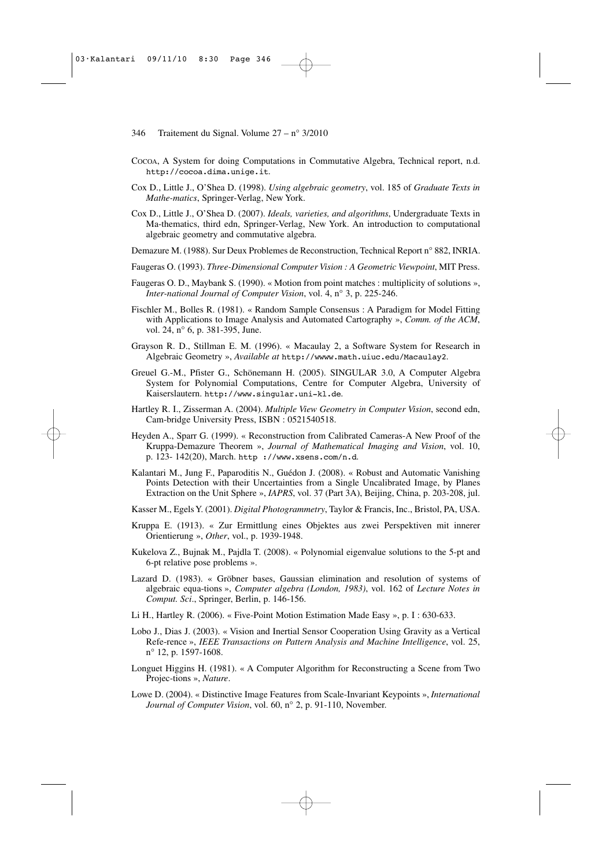- COCOA, A System for doing Computations in Commutative Algebra, Technical report, n.d. http://cocoa.dima.unige.it.
- Cox D., Little J., O'Shea D. (1998). *Using algebraic geometry*, vol. 185 of *Graduate Texts in Mathe-matics*, Springer-Verlag, New York.
- Cox D., Little J., O'Shea D. (2007). *Ideals, varieties, and algorithms*, Undergraduate Texts in Ma-thematics, third edn, Springer-Verlag, New York. An introduction to computational algebraic geometry and commutative algebra.
- Demazure M. (1988). Sur Deux Problemes de Reconstruction, Technical Report n° 882, INRIA.
- Faugeras O. (1993). *Three-Dimensional Computer Vision : A Geometric Viewpoint*, MIT Press.
- Faugeras O. D., Maybank S. (1990). « Motion from point matches : multiplicity of solutions », *Inter-national Journal of Computer Vision*, vol. 4, n° 3, p. 225-246.
- Fischler M., Bolles R. (1981). « Random Sample Consensus : A Paradigm for Model Fitting with Applications to Image Analysis and Automated Cartography », *Comm. of the ACM*, vol. 24, n° 6, p. 381-395, June.
- Grayson R. D., Stillman E. M. (1996). « Macaulay 2, a Software System for Research in Algebraic Geometry », *Available at* http://wwww.math.uiuc.edu/Macaulay2.
- Greuel G.-M., Pfister G., Schönemann H. (2005). SINGULAR 3.0, A Computer Algebra System for Polynomial Computations, Centre for Computer Algebra, University of Kaiserslautern. http://www.singular.uni-kl.de.
- Hartley R. I., Zisserman A. (2004). *Multiple View Geometry in Computer Vision*, second edn, Cam-bridge University Press, ISBN : 0521540518.
- Heyden A., Sparr G. (1999). « Reconstruction from Calibrated Cameras-A New Proof of the Kruppa-Demazure Theorem », *Journal of Mathematical Imaging and Vision*, vol. 10, p. 123- 142(20), March. http ://www.xsens.com/n.d.
- Kalantari M., Jung F., Paparoditis N., Guédon J. (2008). « Robust and Automatic Vanishing Points Detection with their Uncertainties from a Single Uncalibrated Image, by Planes Extraction on the Unit Sphere », *IAPRS*, vol. 37 (Part 3A), Beijing, China, p. 203-208, jul.
- Kasser M., Egels Y. (2001). *Digital Photogrammetry*, Taylor & Francis, Inc., Bristol, PA, USA.
- Kruppa E. (1913). « Zur Ermittlung eines Objektes aus zwei Perspektiven mit innerer Orientierung », *Other*, vol., p. 1939-1948.
- Kukelova Z., Bujnak M., Pajdla T. (2008). « Polynomial eigenvalue solutions to the 5-pt and 6-pt relative pose problems ».
- Lazard D. (1983). « Gröbner bases, Gaussian elimination and resolution of systems of algebraic equa-tions », *Computer algebra (London, 1983)*, vol. 162 of *Lecture Notes in Comput. Sci*., Springer, Berlin, p. 146-156.
- Li H., Hartley R. (2006). « Five-Point Motion Estimation Made Easy », p. I : 630-633.
- Lobo J., Dias J. (2003). « Vision and Inertial Sensor Cooperation Using Gravity as a Vertical Refe-rence », *IEEE Transactions on Pattern Analysis and Machine Intelligence*, vol. 25, n° 12, p. 1597-1608.
- Longuet Higgins H. (1981). « A Computer Algorithm for Reconstructing a Scene from Two Projec-tions », *Nature*.
- Lowe D. (2004). « Distinctive Image Features from Scale-Invariant Keypoints », *International Journal of Computer Vision*, vol. 60, n° 2, p. 91-110, November.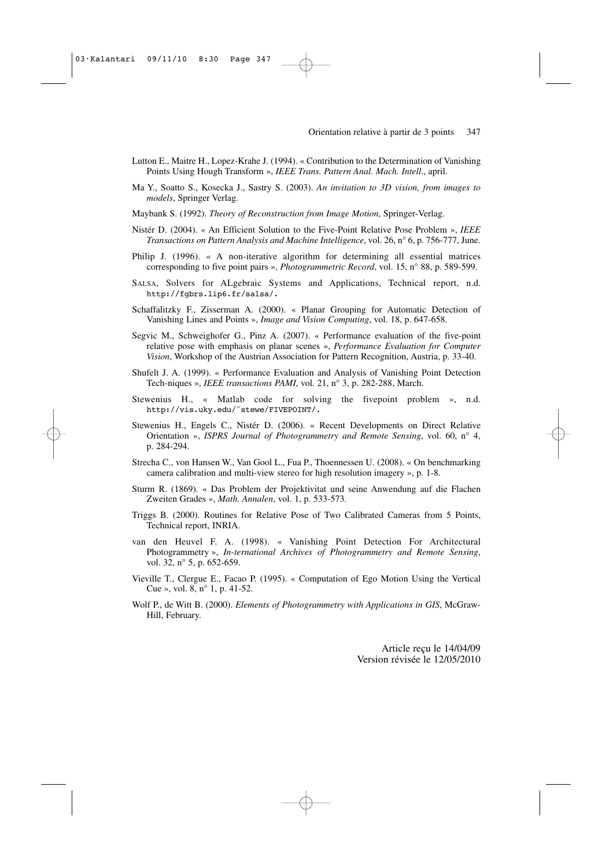- Lutton E., Maitre H., Lopez-Krahe J. (1994). « Contribution to the Determination of Vanishing Points Using Hough Transform », *IEEE Trans. Pattern Anal. Mach. Intell*., april.
- Ma Y., Soatto S., Kosecka J., Sastry S. (2003). *An invitation to 3D vision, from images to models*, Springer Verlag.
- Maybank S. (1992). *Theory of Reconstruction from Image Motion*, Springer-Verlag.
- Nistér D. (2004). « An Efficient Solution to the Five-Point Relative Pose Problem », *IEEE Transactions on Pattern Analysis and Machine Intelligence*, vol. 26, n° 6, p. 756-777, June.
- Philip J. (1996). « A non-iterative algorithm for determining all essential matrices corresponding to five point pairs », *Photogrammetric Record*, vol. 15, n° 88, p. 589-599.
- SALSA, Solvers for ALgebraic Systems and Applications, Technical report, n.d. http://fgbrs.lip6.fr/salsa/.
- Schaffalitzky F., Zisserman A. (2000). « Planar Grouping for Automatic Detection of Vanishing Lines and Points », *Image and Vision Computing*, vol. 18, p. 647-658.
- Segvic M., Schweighofer G., Pinz A. (2007). « Performance evaluation of the five-point relative pose with emphasis on planar scenes », *Performance Evaluation for Computer Vision*, Workshop of the Austrian Association for Pattern Recognition, Austria, p. 33-40.
- Shufelt J. A. (1999). « Performance Evaluation and Analysis of Vanishing Point Detection Tech-niques », *IEEE transactions PAMI*, vol. 21, n° 3, p. 282-288, March.
- Stewenius H., « Matlab code for solving the fivepoint problem », n.d. http://vis.uky.edu/˜stewe/FIVEPOINT/.
- Stewenius H., Engels C., Nistér D. (2006). « Recent Developments on Direct Relative Orientation », *ISPRS Journal of Photogrammetry and Remote Sensing*, vol. 60, n° 4, p. 284-294.
- Strecha C., von Hansen W., Van Gool L., Fua P., Thoennessen U. (2008). « On benchmarking camera calibration and multi-view stereo for high resolution imagery », p. 1-8.
- Sturm R. (1869). « Das Problem der Projektivitat und seine Anwendung auf die Flachen Zweiten Grades », *Math. Annalen*, vol. 1, p. 533-573.
- Triggs B. (2000). Routines for Relative Pose of Two Calibrated Cameras from 5 Points, Technical report, INRIA.
- van den Heuvel F. A. (1998). « Vanishing Point Detection For Architectural Photogrammetry », *In-ternational Archives of Photogrammetry and Remote Sensing*, vol. 32, n° 5, p. 652-659.
- Vieville T., Clergue E., Facao P. (1995). « Computation of Ego Motion Using the Vertical Cue », vol. 8, n° 1, p. 41-52.
- Wolf P., de Witt B. (2000). *Elements of Photogrammetry with Applications in GIS*, McGraw-Hill, February.

Article reçu le 14/04/09 Version révisée le 12/05/2010